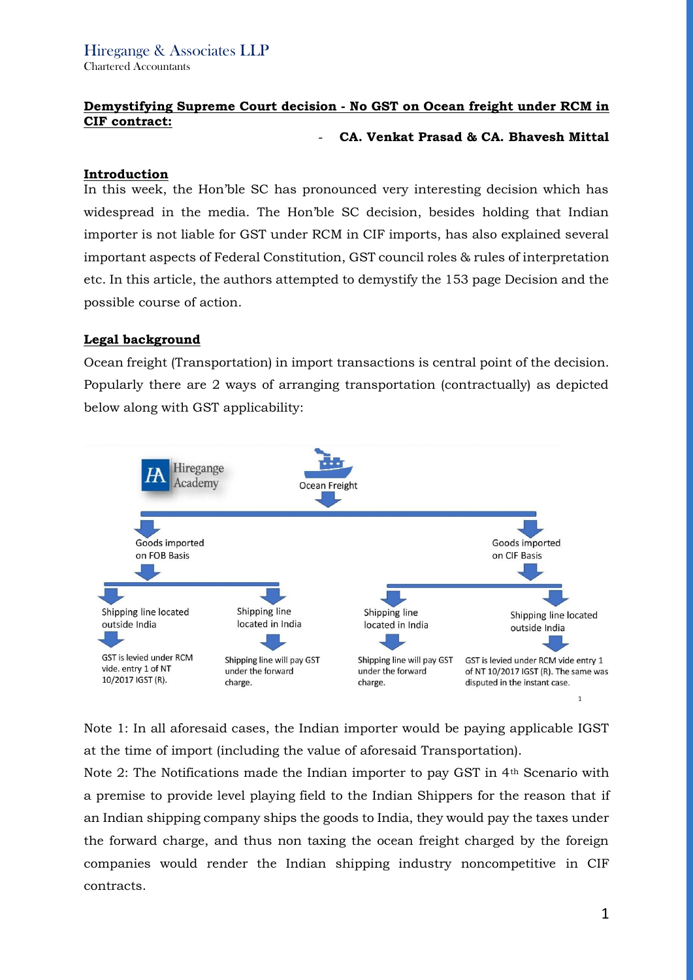# **Demystifying Supreme Court decision - No GST on Ocean freight under RCM in CIF contract:**

#### - **CA. Venkat Prasad & CA. Bhavesh Mittal**

### **Introduction**

In this week, the Hon'ble SC has pronounced very interesting decision which has widespread in the media. The Hon'ble SC decision, besides holding that Indian importer is not liable for GST under RCM in CIF imports, has also explained several important aspects of Federal Constitution, GST council roles & rules of interpretation etc. In this article, the authors attempted to demystify the 153 page Decision and the possible course of action.

## **Legal background**

Ocean freight (Transportation) in import transactions is central point of the decision. Popularly there are 2 ways of arranging transportation (contractually) as depicted below along with GST applicability:



Note 1: In all aforesaid cases, the Indian importer would be paying applicable IGST at the time of import (including the value of aforesaid Transportation).

Note 2: The Notifications made the Indian importer to pay GST in 4th Scenario with a premise to provide level playing field to the Indian Shippers for the reason that if an Indian shipping company ships the goods to India, they would pay the taxes under the forward charge, and thus non taxing the ocean freight charged by the foreign companies would render the Indian shipping industry noncompetitive in CIF contracts.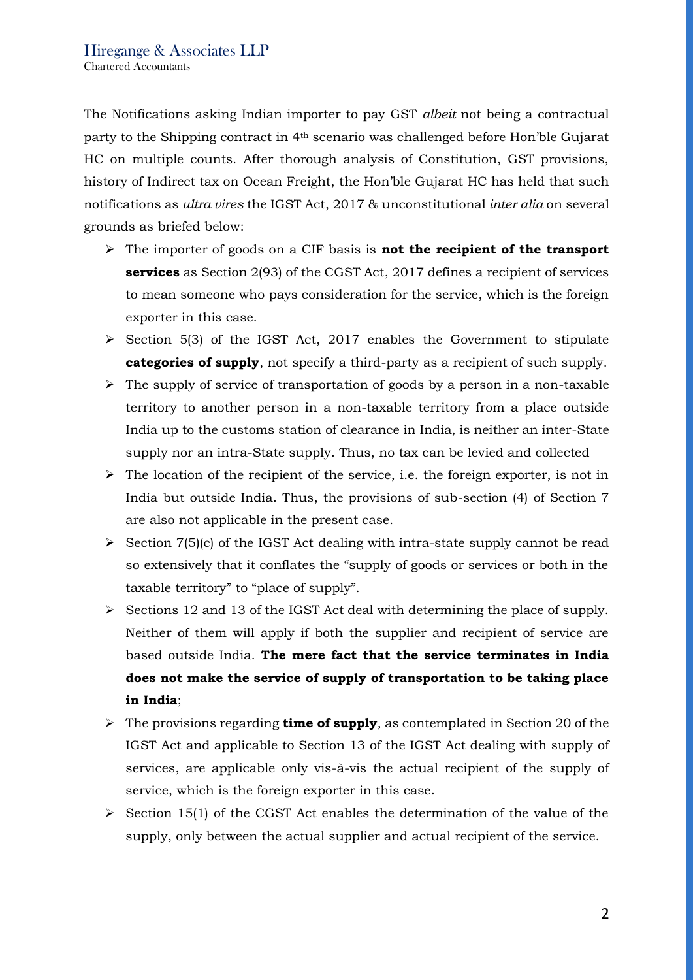The Notifications asking Indian importer to pay GST *albeit* not being a contractual party to the Shipping contract in 4th scenario was challenged before Hon'ble Gujarat HC on multiple counts. After thorough analysis of Constitution, GST provisions, history of Indirect tax on Ocean Freight, the Hon'ble Gujarat HC has held that such notifications as *ultra vires* the IGST Act, 2017 & unconstitutional *inter alia* on several grounds as briefed below:

- ➢ The importer of goods on a CIF basis is **not the recipient of the transport services** as Section 2(93) of the CGST Act, 2017 defines a recipient of services to mean someone who pays consideration for the service, which is the foreign exporter in this case.
- ➢ Section 5(3) of the IGST Act, 2017 enables the Government to stipulate **categories of supply**, not specify a third-party as a recipient of such supply.
- $\triangleright$  The supply of service of transportation of goods by a person in a non-taxable territory to another person in a non-taxable territory from a place outside India up to the customs station of clearance in India, is neither an inter-State supply nor an intra-State supply. Thus, no tax can be levied and collected
- ➢ The location of the recipient of the service, i.e. the foreign exporter, is not in India but outside India. Thus, the provisions of sub-section (4) of Section 7 are also not applicable in the present case.
- $\triangleright$  Section 7(5)(c) of the IGST Act dealing with intra-state supply cannot be read so extensively that it conflates the "supply of goods or services or both in the taxable territory" to "place of supply".
- ➢ Sections 12 and 13 of the IGST Act deal with determining the place of supply. Neither of them will apply if both the supplier and recipient of service are based outside India. **The mere fact that the service terminates in India does not make the service of supply of transportation to be taking place in India**;
- ➢ The provisions regarding **time of supply**, as contemplated in Section 20 of the IGST Act and applicable to Section 13 of the IGST Act dealing with supply of services, are applicable only vis-à-vis the actual recipient of the supply of service, which is the foreign exporter in this case.
- $\triangleright$  Section 15(1) of the CGST Act enables the determination of the value of the supply, only between the actual supplier and actual recipient of the service.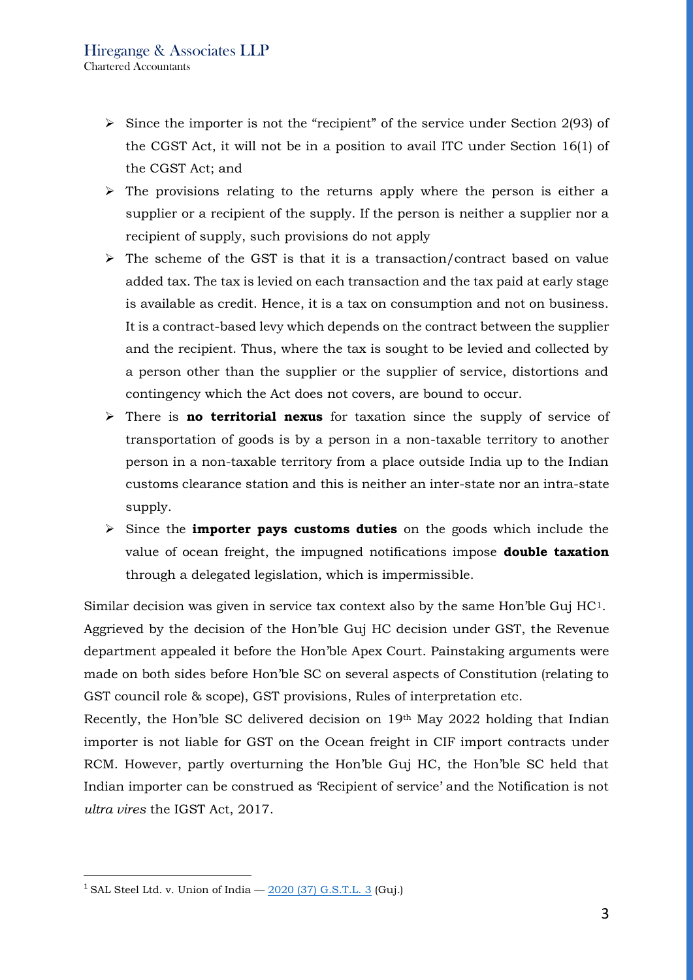- ➢ Since the importer is not the "recipient" of the service under Section 2(93) of the CGST Act, it will not be in a position to avail ITC under Section 16(1) of the CGST Act; and
- $\triangleright$  The provisions relating to the returns apply where the person is either a supplier or a recipient of the supply. If the person is neither a supplier nor a recipient of supply, such provisions do not apply
- $\triangleright$  The scheme of the GST is that it is a transaction/contract based on value added tax. The tax is levied on each transaction and the tax paid at early stage is available as credit. Hence, it is a tax on consumption and not on business. It is a contract-based levy which depends on the contract between the supplier and the recipient. Thus, where the tax is sought to be levied and collected by a person other than the supplier or the supplier of service, distortions and contingency which the Act does not covers, are bound to occur.
- ➢ There is **no territorial nexus** for taxation since the supply of service of transportation of goods is by a person in a non-taxable territory to another person in a non-taxable territory from a place outside India up to the Indian customs clearance station and this is neither an inter-state nor an intra-state supply.
- ➢ Since the **importer pays customs duties** on the goods which include the value of ocean freight, the impugned notifications impose **double taxation** through a delegated legislation, which is impermissible.

Similar decision was given in service tax context also by the same Hon'ble Guj HC1. Aggrieved by the decision of the Hon'ble Guj HC decision under GST, the Revenue department appealed it before the Hon'ble Apex Court. Painstaking arguments were made on both sides before Hon'ble SC on several aspects of Constitution (relating to GST council role & scope), GST provisions, Rules of interpretation etc.

Recently, the Hon'ble SC delivered decision on 19th May 2022 holding that Indian importer is not liable for GST on the Ocean freight in CIF import contracts under RCM. However, partly overturning the Hon'ble Guj HC, the Hon'ble SC held that Indian importer can be construed as 'Recipient of service' and the Notification is not *ultra vires* the IGST Act, 2017.

<sup>&</sup>lt;sup>1</sup> SAL Steel Ltd. v. Union of India  $-$  [2020 \(37\) G.S.T.L. 3](file:///C:/Program%20Files%20(x86)/GST-ExCus/__1322001) (Guj.)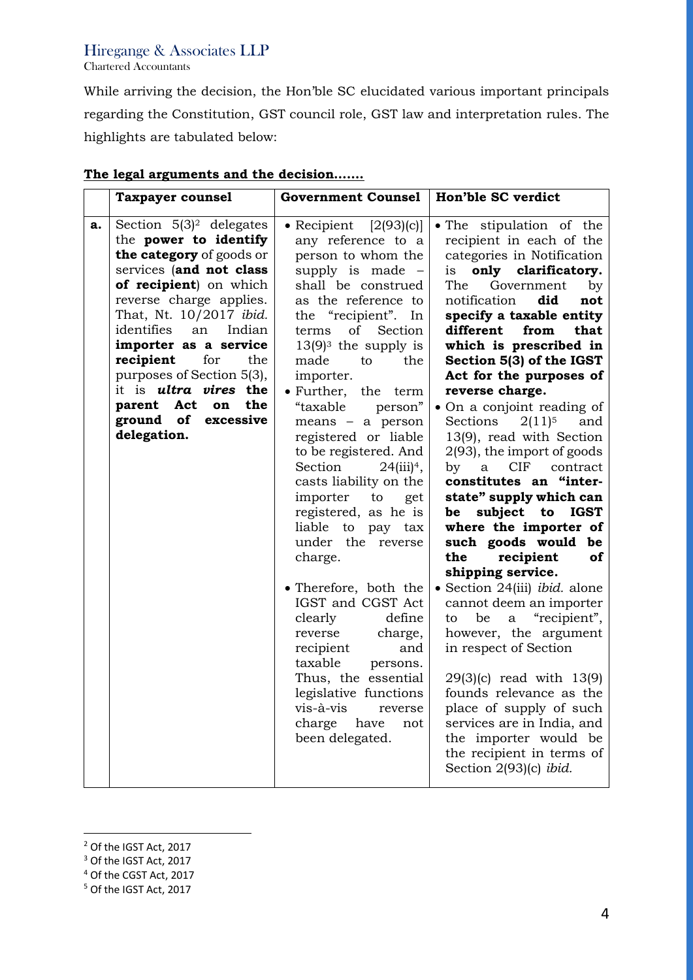# Hiregange & Associates LLP

Chartered Accountants

While arriving the decision, the Hon'ble SC elucidated various important principals regarding the Constitution, GST council role, GST law and interpretation rules. The highlights are tabulated below:

|    | <b>Taxpayer counsel</b>                                                                                                                                                                                                                                                                                                                                                                                       | <b>Government Counsel</b>                                                                                                                                                                                                                                                                                                                                                                                                                                                                                                                                                                                                                                                                                                                                                                                         | Hon'ble SC verdict                                                                                                                                                                                                                                                                                                                                                                                                                                                                                                                                                                                                                                                                                                                                                                                                                                                                                                                                                                                                                                                      |
|----|---------------------------------------------------------------------------------------------------------------------------------------------------------------------------------------------------------------------------------------------------------------------------------------------------------------------------------------------------------------------------------------------------------------|-------------------------------------------------------------------------------------------------------------------------------------------------------------------------------------------------------------------------------------------------------------------------------------------------------------------------------------------------------------------------------------------------------------------------------------------------------------------------------------------------------------------------------------------------------------------------------------------------------------------------------------------------------------------------------------------------------------------------------------------------------------------------------------------------------------------|-------------------------------------------------------------------------------------------------------------------------------------------------------------------------------------------------------------------------------------------------------------------------------------------------------------------------------------------------------------------------------------------------------------------------------------------------------------------------------------------------------------------------------------------------------------------------------------------------------------------------------------------------------------------------------------------------------------------------------------------------------------------------------------------------------------------------------------------------------------------------------------------------------------------------------------------------------------------------------------------------------------------------------------------------------------------------|
| a. | Section $5(3)^2$ delegates<br>the power to identify<br>the category of goods or<br>services (and not class<br>of recipient) on which<br>reverse charge applies.<br>That, Nt. 10/2017 ibid.<br>identifies<br>an<br>Indian<br>importer as a service<br>recipient<br>for<br>the<br>purposes of Section 5(3),<br>it is <i>ultra vires</i> the<br>parent Act<br>the<br>on<br>ground of<br>excessive<br>delegation. | • Recipient $[2(93)(c)]$<br>any reference to a<br>person to whom the<br>supply is made -<br>shall be construed<br>as the reference to<br>the "recipient". In<br>of<br>terms<br>Section<br>$13(9)^3$ the supply is<br>made<br>to<br>the<br>importer.<br>$\bullet$ Further,<br>the<br>term<br>"taxable<br>person"<br>means - a person<br>registered or liable<br>to be registered. And<br>Section<br>$24(iii)^4$ ,<br>casts liability on the<br>importer<br>to<br>get<br>registered, as he is<br>liable<br>to<br>pay tax<br>under the<br>reverse<br>charge.<br>• Therefore, both the<br>IGST and CGST Act<br>clearly<br>define<br>charge,<br>reverse<br>recipient<br>and<br>taxable<br>persons.<br>Thus, the essential<br>legislative functions<br>vis-à-vis<br>reverse<br>charge<br>have<br>not<br>been delegated. | . The stipulation of the<br>recipient in each of the<br>categories in Notification<br>only clarificatory.<br><i>is</i><br>The<br>Government<br>by<br>notification<br>did<br>not<br>specify a taxable entity<br>different<br>from<br>that<br>which is prescribed in<br>Section 5(3) of the IGST<br>Act for the purposes of<br>reverse charge.<br>• On a conjoint reading of<br>and<br>Sections<br>$2(11)^5$<br>13(9), read with Section<br>2(93), the import of goods<br>CIF<br>$\mathbf{b} \mathbf{v}$<br>a<br>contract<br>constitutes an "inter-<br>state" supply which can<br>subject<br><b>IGST</b><br>be<br>to<br>where the importer of<br>such goods would<br>be<br>the<br>recipient<br>of<br>shipping service.<br>· Section 24(iii) ibid. alone<br>cannot deem an importer<br>"recipient",<br>to<br>be<br>a<br>however, the argument<br>in respect of Section<br>$29(3)(c)$ read with $13(9)$<br>founds relevance as the<br>place of supply of such<br>services are in India, and<br>the importer would be<br>the recipient in terms of<br>Section 2(93)(c) ibid. |

## **The legal arguments and the decision…….**

<sup>&</sup>lt;sup>2</sup> Of the IGST Act, 2017

<sup>&</sup>lt;sup>3</sup> Of the IGST Act, 2017

<sup>4</sup> Of the CGST Act, 2017

<sup>5</sup> Of the IGST Act, 2017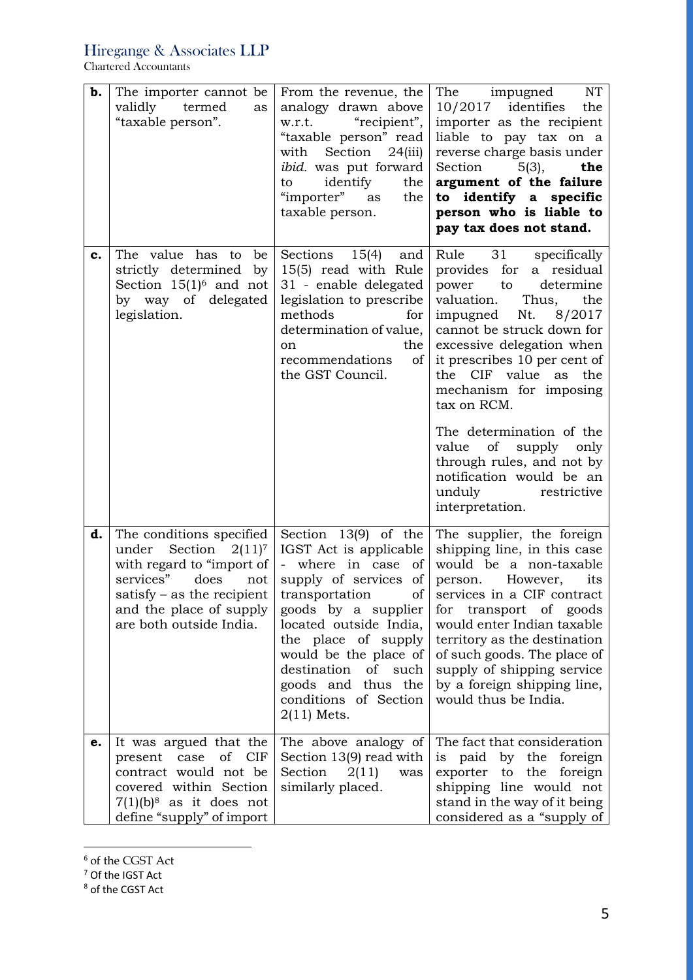Hiregange & Associates LLP

Chartered Accountants

| b. | The importer cannot be.<br>validly termed<br>as<br>"taxable person".                                                                                                                               | From the revenue, the<br>analogy drawn above<br>"recipient",<br>w.r.t.<br>"taxable person" read<br>Section<br>with<br>24(iii)<br><i>ibid.</i> was put forward<br>identify<br>the<br>to<br>"importer" as<br>the<br>taxable person.                                                                                                 | NT<br>The impugned<br>$10/2017$ identifies<br>the<br>importer as the recipient<br>liable to pay tax on a<br>reverse charge basis under<br>Section<br>$5(3)$ ,<br>the<br>argument of the failure<br>to identify a specific<br>person who is liable to<br>pay tax does not stand.                                                                                                                                                                                                    |
|----|----------------------------------------------------------------------------------------------------------------------------------------------------------------------------------------------------|-----------------------------------------------------------------------------------------------------------------------------------------------------------------------------------------------------------------------------------------------------------------------------------------------------------------------------------|------------------------------------------------------------------------------------------------------------------------------------------------------------------------------------------------------------------------------------------------------------------------------------------------------------------------------------------------------------------------------------------------------------------------------------------------------------------------------------|
| c. | The value has to<br>be<br>strictly determined<br>by<br>Section $15(1)^6$ and not<br>by way of delegated<br>legislation.                                                                            | Sections<br>15(4)<br>and<br>15(5) read with Rule<br>31 - enable delegated<br>legislation to prescribe<br>methods<br>for<br>determination of value,<br>the<br>on<br>recommendations<br>of<br>the GST Council.                                                                                                                      | Rule 31<br>specifically<br>provides for<br>a residual<br>determine<br>power<br>to<br>valuation.<br>Thus,<br>the<br>Nt.<br>8/2017<br>impugned<br>cannot be struck down for<br>excessive delegation when<br>it prescribes 10 per cent of<br>the<br>CIF value<br>the<br>as<br>mechanism for imposing<br>tax on RCM.<br>The determination of the<br>value<br>of<br>supply<br>only<br>through rules, and not by<br>notification would be an<br>unduly<br>restrictive<br>interpretation. |
| d. | The conditions specified<br>under Section $2(11)^7$<br>with regard to "import of<br>services"<br>does<br>not<br>satisfy $-$ as the recipient<br>and the place of supply<br>are both outside India. | Section 13(9) of the<br>IGST Act is applicable<br>- where in case<br><sub>of</sub><br>supply of services<br>of<br>of<br>transportation<br>goods by a supplier<br>located outside India,<br>the place of supply<br>would be the place of<br>destination<br>of such<br>goods and thus the<br>conditions of Section<br>$2(11)$ Mets. | The supplier, the foreign<br>shipping line, in this case<br>would be a non-taxable<br>However,<br>its<br>person.<br>services in a CIF contract<br>for transport of goods<br>would enter Indian taxable<br>territory as the destination<br>of such goods. The place of<br>supply of shipping service<br>by a foreign shipping line,<br>would thus be India.                                                                                                                         |
| e. | It was argued that the<br>present case of CIF<br>contract would not be<br>covered within Section<br>$7(1)(b)^8$ as it does not<br>define "supply" of import                                        | The above analogy of<br>Section 13(9) read with<br>Section<br>2(11)<br>was<br>similarly placed.                                                                                                                                                                                                                                   | The fact that consideration<br>is paid by the foreign<br>exporter to the<br>foreign<br>shipping line would not<br>stand in the way of it being<br>considered as a "supply of                                                                                                                                                                                                                                                                                                       |

<sup>6</sup> of the CGST Act

<sup>&</sup>lt;sup>7</sup> Of the IGST Act

<sup>8</sup> of the CGST Act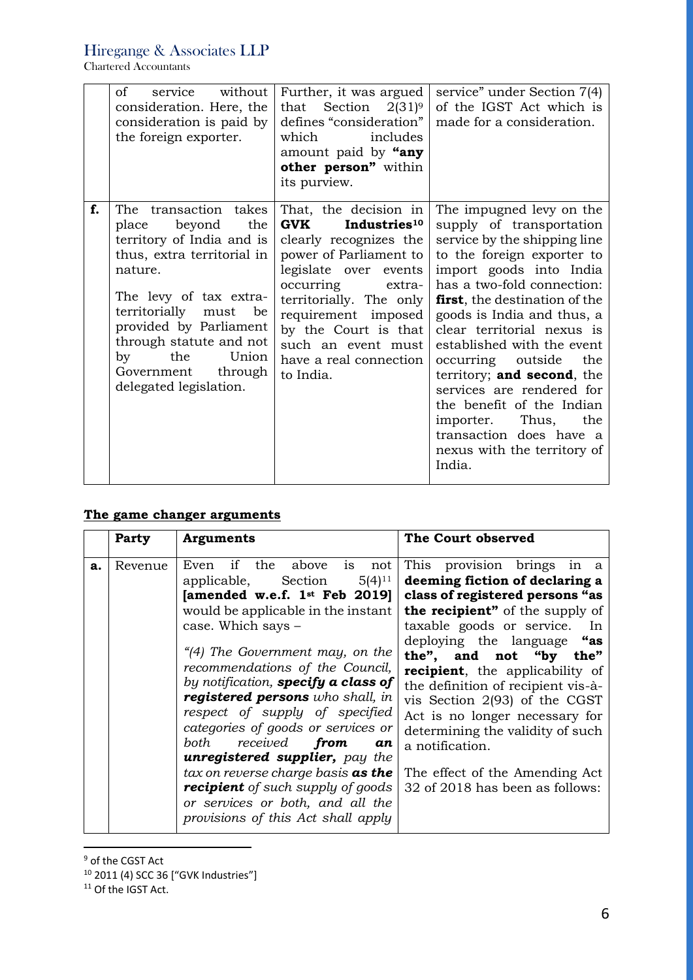Chartered Accountants

|    | service without<br>of<br>consideration. Here, the<br>consideration is paid by<br>the foreign exporter.                                                                                                                                                                                              | Further, it was argued<br>that Section $2(31)^9$<br>defines "consideration"<br>which<br>includes<br>amount paid by "any<br>other person" within<br>its purview.                                                                                                                                         | service" under Section 7(4)<br>of the IGST Act which is<br>made for a consideration.                                                                                                                                                                                                                                                                                                                                                                                                                                     |
|----|-----------------------------------------------------------------------------------------------------------------------------------------------------------------------------------------------------------------------------------------------------------------------------------------------------|---------------------------------------------------------------------------------------------------------------------------------------------------------------------------------------------------------------------------------------------------------------------------------------------------------|--------------------------------------------------------------------------------------------------------------------------------------------------------------------------------------------------------------------------------------------------------------------------------------------------------------------------------------------------------------------------------------------------------------------------------------------------------------------------------------------------------------------------|
| f. | The transaction takes<br>beyond<br>the<br>place<br>territory of India and is<br>thus, extra territorial in<br>nature.<br>The levy of tax extra-<br>territorially must be<br>provided by Parliament<br>through statute and not<br>Union<br>the<br>by<br>Government through<br>delegated legislation. | That, the decision in<br><b>GVK</b><br>Industries <sup>10</sup><br>clearly recognizes the<br>power of Parliament to<br>legislate over events<br>occurring extra-<br>territorially. The only<br>requirement imposed<br>by the Court is that<br>such an event must<br>have a real connection<br>to India. | The impugned levy on the<br>supply of transportation<br>service by the shipping line<br>to the foreign exporter to<br>import goods into India<br>has a two-fold connection:<br>first, the destination of the<br>goods is India and thus, a<br>clear territorial nexus is<br>established with the event<br>occurring outside the<br>territory; and second, the<br>services are rendered for<br>the benefit of the Indian<br>Thus,<br>importer.<br>the<br>transaction does have a<br>nexus with the territory of<br>India. |

# **The game changer arguments**

|    | <b>Party</b> | <b>Arguments</b>                                                                                                                                                                                                                                                                                                                                                                                                                                                                                                                                                                                                                 | The Court observed                                                                                                                                                                                                                                                                                                                                                                                                                                                                                    |
|----|--------------|----------------------------------------------------------------------------------------------------------------------------------------------------------------------------------------------------------------------------------------------------------------------------------------------------------------------------------------------------------------------------------------------------------------------------------------------------------------------------------------------------------------------------------------------------------------------------------------------------------------------------------|-------------------------------------------------------------------------------------------------------------------------------------------------------------------------------------------------------------------------------------------------------------------------------------------------------------------------------------------------------------------------------------------------------------------------------------------------------------------------------------------------------|
| a. | Revenue      | if the above is<br>Even<br>not<br>$5(4)^{11}$<br>applicable, Section<br>[amended w.e.f. $1st$ Feb 2019]<br>would be applicable in the instant<br>case. Which says -<br>"(4) The Government may, on the<br>recommendations of the Council,<br>by notification, specify a class of<br>registered persons who shall, in<br>respect of supply of specified<br>categories of goods or services or<br>received from<br>both<br>an<br><b>unregistered supplier,</b> pay the<br>tax on reverse charge basis as the<br><b>recipient</b> of such supply of goods<br>or services or both, and all the<br>provisions of this Act shall apply | This provision brings in a<br>deeming fiction of declaring a<br>class of registered persons "as<br>the recipient" of the supply of<br>taxable goods or service.<br>In<br>deploying the language "as<br>the", and not "by the"<br>recipient, the applicability of<br>the definition of recipient vis-à-<br>vis Section 2(93) of the CGST<br>Act is no longer necessary for<br>determining the validity of such<br>a notification.<br>The effect of the Amending Act<br>32 of 2018 has been as follows: |

<sup>&</sup>lt;sup>9</sup> of the CGST Act

<sup>&</sup>lt;sup>10</sup> 2011 (4) SCC 36 ["GVK Industries"]

<sup>&</sup>lt;sup>11</sup> Of the IGST Act.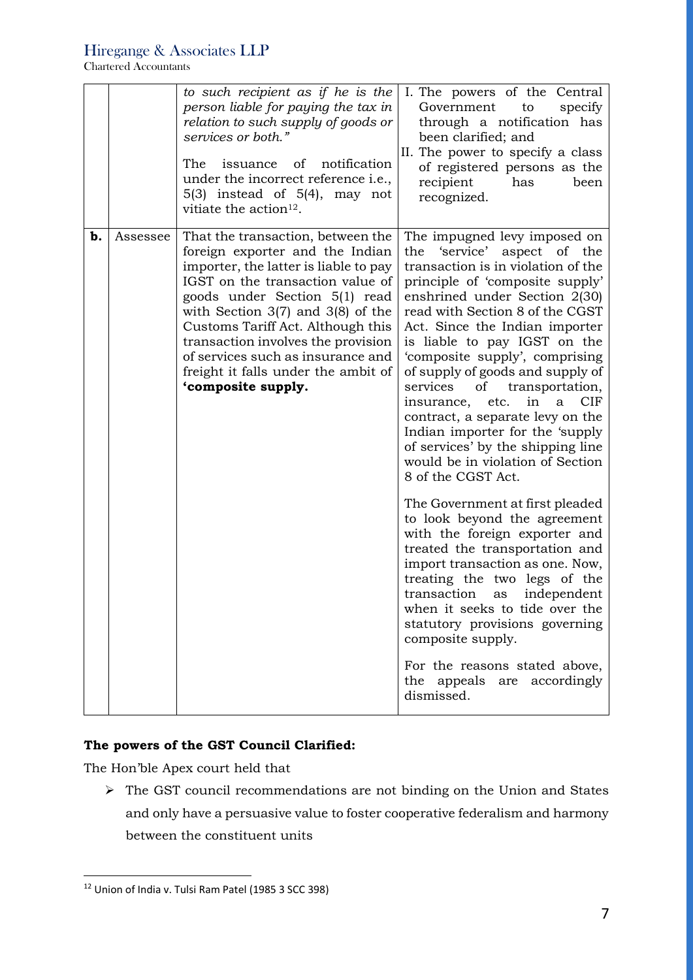Chartered Accountants

|    |          | to such recipient as if he is the<br>person liable for paying the tax in<br>relation to such supply of goods or<br>services or both."<br>issuance of<br>notification<br>The<br>under the incorrect reference i.e.,<br>$5(3)$ instead of $5(4)$ , may not<br>vitiate the action <sup>12</sup> .                                                                                                           | I. The powers of the Central<br>specify<br>Government<br>to<br>through a notification has<br>been clarified; and<br>II. The power to specify a class<br>of registered persons as the<br>recipient<br>has<br>been<br>recognized.                                                                                                                                                                                                                                                                                                                                                                                                                                                                                                                                                                                                                                                                                                                                                                                                              |
|----|----------|----------------------------------------------------------------------------------------------------------------------------------------------------------------------------------------------------------------------------------------------------------------------------------------------------------------------------------------------------------------------------------------------------------|----------------------------------------------------------------------------------------------------------------------------------------------------------------------------------------------------------------------------------------------------------------------------------------------------------------------------------------------------------------------------------------------------------------------------------------------------------------------------------------------------------------------------------------------------------------------------------------------------------------------------------------------------------------------------------------------------------------------------------------------------------------------------------------------------------------------------------------------------------------------------------------------------------------------------------------------------------------------------------------------------------------------------------------------|
| b. | Assessee | That the transaction, between the<br>foreign exporter and the Indian<br>importer, the latter is liable to pay<br>IGST on the transaction value of<br>goods under Section 5(1) read<br>with Section $3(7)$ and $3(8)$ of the<br>Customs Tariff Act. Although this<br>transaction involves the provision<br>of services such as insurance and<br>freight it falls under the ambit of<br>'composite supply. | The impugned levy imposed on<br>'service'<br>aspect of the<br>the<br>transaction is in violation of the<br>principle of 'composite supply'<br>enshrined under Section 2(30)<br>read with Section 8 of the CGST<br>Act. Since the Indian importer<br>is liable to pay IGST on the<br>'composite supply', comprising<br>of supply of goods and supply of<br>services<br>transportation,<br>of<br>in<br><b>CIF</b><br>insurance, etc.<br>$\mathbf{a}$<br>contract, a separate levy on the<br>Indian importer for the 'supply<br>of services' by the shipping line<br>would be in violation of Section<br>8 of the CGST Act.<br>The Government at first pleaded<br>to look beyond the agreement<br>with the foreign exporter and<br>treated the transportation and<br>import transaction as one. Now,<br>treating the two legs of the<br>transaction<br>independent<br>as<br>when it seeks to tide over the<br>statutory provisions governing<br>composite supply.<br>For the reasons stated above,<br>the appeals are accordingly<br>dismissed. |

# **The powers of the GST Council Clarified:**

The Hon'ble Apex court held that

➢ The GST council recommendations are not binding on the Union and States and only have a persuasive value to foster cooperative federalism and harmony between the constituent units

<sup>12</sup> Union of India v. Tulsi Ram Patel (1985 3 SCC 398)